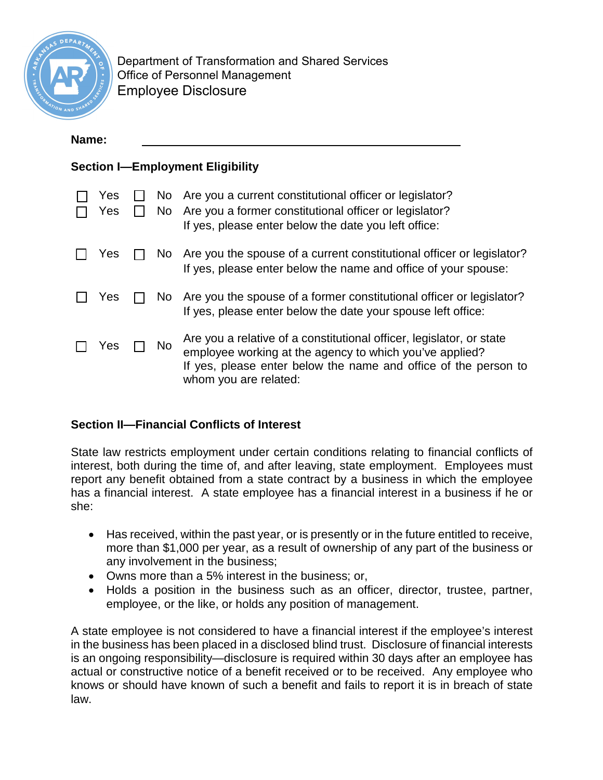

Department of Transformation and Shared Services Office of Personnel Management Employee Disclosure

## **Name:**

## **Section I—Employment Eligibility**

| Yes<br>Yes |     | No Are you a current constitutional officer or legislator?<br>No Are you a former constitutional officer or legislator?<br>If yes, please enter below the date you left office:                                             |
|------------|-----|-----------------------------------------------------------------------------------------------------------------------------------------------------------------------------------------------------------------------------|
| Yes        |     | No Are you the spouse of a current constitutional officer or legislator?<br>If yes, please enter below the name and office of your spouse:                                                                                  |
| Yes        |     | No Are you the spouse of a former constitutional officer or legislator?<br>If yes, please enter below the date your spouse left office:                                                                                     |
| Yes        | No. | Are you a relative of a constitutional officer, legislator, or state<br>employee working at the agency to which you've applied?<br>If yes, please enter below the name and office of the person to<br>whom you are related: |

## **Section II—Financial Conflicts of Interest**

State law restricts employment under certain conditions relating to financial conflicts of interest, both during the time of, and after leaving, state employment. Employees must report any benefit obtained from a state contract by a business in which the employee has a financial interest. A state employee has a financial interest in a business if he or she:

- Has received, within the past year, or is presently or in the future entitled to receive, more than \$1,000 per year, as a result of ownership of any part of the business or any involvement in the business;
- Owns more than a 5% interest in the business; or,
- Holds a position in the business such as an officer, director, trustee, partner, employee, or the like, or holds any position of management.

A state employee is not considered to have a financial interest if the employee's interest in the business has been placed in a disclosed blind trust. Disclosure of financial interests is an ongoing responsibility—disclosure is required within 30 days after an employee has actual or constructive notice of a benefit received or to be received. Any employee who knows or should have known of such a benefit and fails to report it is in breach of state law.